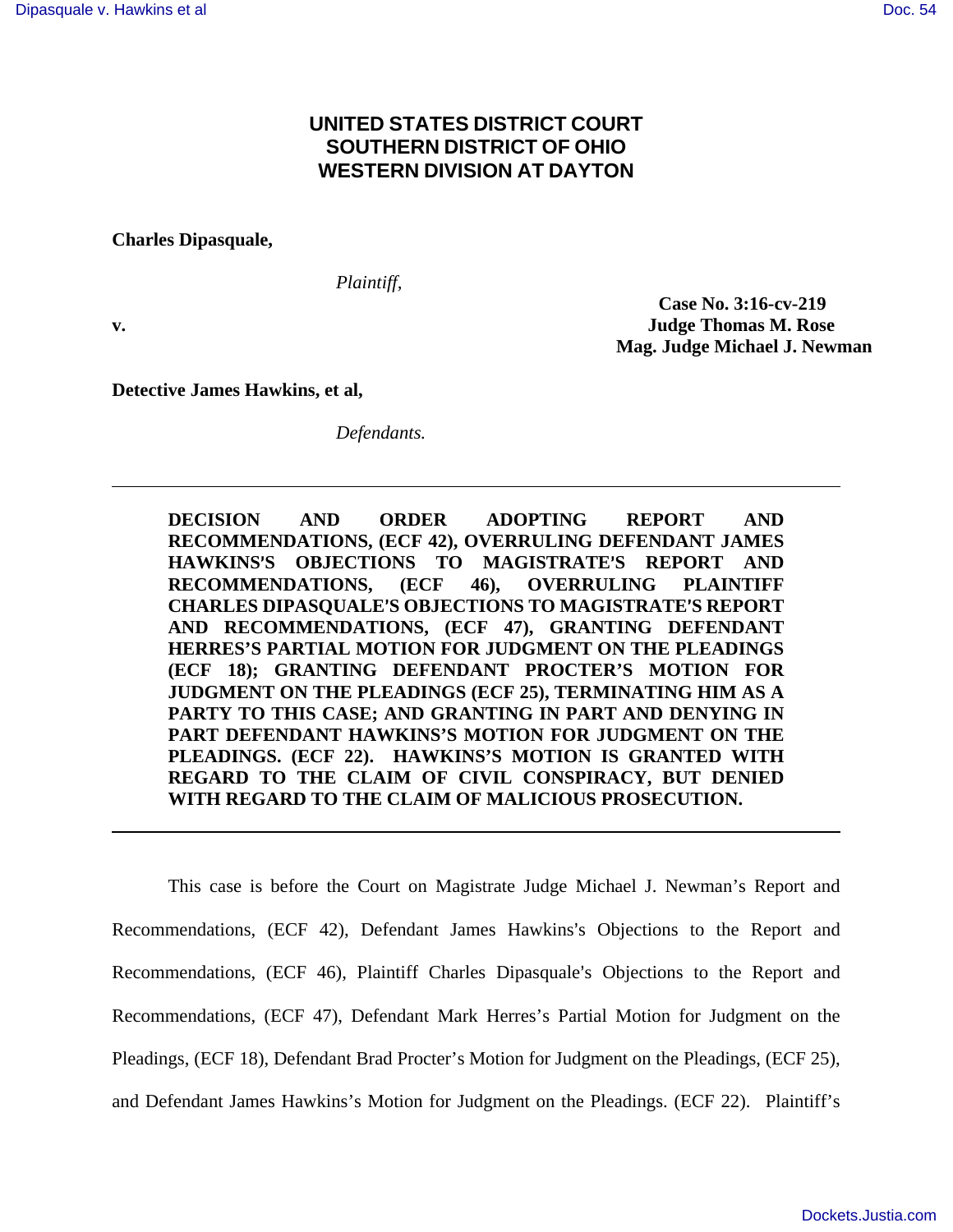## **UNITED STATES DISTRICT COURT SOUTHERN DISTRICT OF OHIO WESTERN DIVISION AT DAYTON**

**Charles Dipasquale,** 

*Plaintiff,* 

 **Case No. 3:16-cv-219 v. Judge Thomas M. Rose Mag. Judge Michael J. Newman** 

**Detective James Hawkins, et al,** 

*Defendants.* 

**DECISION AND ORDER ADOPTING REPORT AND RECOMMENDATIONS, (ECF 42), OVERRULING DEFENDANT JAMES HAWKINS**=**S OBJECTIONS TO MAGISTRATE**=**S REPORT AND RECOMMENDATIONS, (ECF 46), OVERRULING PLAINTIFF CHARLES DIPASQUALE**=**S OBJECTIONS TO MAGISTRATE**=**S REPORT AND RECOMMENDATIONS, (ECF 47), GRANTING DEFENDANT HERRES'S PARTIAL MOTION FOR JUDGMENT ON THE PLEADINGS (ECF 18); GRANTING DEFENDANT PROCTER'S MOTION FOR JUDGMENT ON THE PLEADINGS (ECF 25), TERMINATING HIM AS A PARTY TO THIS CASE; AND GRANTING IN PART AND DENYING IN PART DEFENDANT HAWKINS'S MOTION FOR JUDGMENT ON THE PLEADINGS. (ECF 22). HAWKINS'S MOTION IS GRANTED WITH REGARD TO THE CLAIM OF CIVIL CONSPIRACY, BUT DENIED WITH REGARD TO THE CLAIM OF MALICIOUS PROSECUTION.** 

This case is before the Court on Magistrate Judge Michael J. Newman's Report and Recommendations, (ECF 42), Defendant James Hawkins's Objections to the Report and Recommendations, (ECF 46), Plaintiff Charles Dipasquale's Objections to the Report and Recommendations, (ECF 47), Defendant Mark Herres's Partial Motion for Judgment on the Pleadings, (ECF 18), Defendant Brad Procter's Motion for Judgment on the Pleadings, (ECF 25), and Defendant James Hawkins's Motion for Judgment on the Pleadings. (ECF 22). Plaintiff's